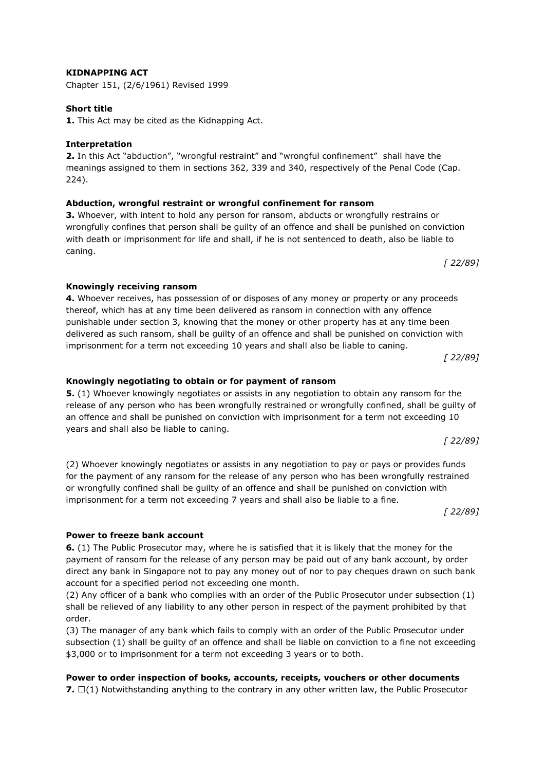# **KIDNAPPING ACT**

Chapter 151, (2/6/1961) Revised 1999

## **Short title**

**1.** This Act may be cited as the Kidnapping Act.

## **Interpretation**

**2.** In this Act "abduction", "wrongful restraint" and "wrongful confinement" shall have the meanings assigned to them in sections 362, 339 and 340, respectively of the Penal Code (Cap. 224).

#### **Abduction, wrongful restraint or wrongful confinement for ransom**

**3.** Whoever, with intent to hold any person for ransom, abducts or wrongfully restrains or wrongfully confines that person shall be guilty of an offence and shall be punished on conviction with death or imprisonment for life and shall, if he is not sentenced to death, also be liable to caning.

*[ 22/89]*

#### **Knowingly receiving ransom**

**4.** Whoever receives, has possession of or disposes of any money or property or any proceeds thereof, which has at any time been delivered as ransom in connection with any offence punishable under section 3, knowing that the money or other property has at any time been delivered as such ransom, shall be guilty of an offence and shall be punished on conviction with imprisonment for a term not exceeding 10 years and shall also be liable to caning.

*[ 22/89]*

#### **Knowingly negotiating to obtain or for payment of ransom**

**5.** (1) Whoever knowingly negotiates or assists in any negotiation to obtain any ransom for the release of any person who has been wrongfully restrained or wrongfully confined, shall be guilty of an offence and shall be punished on conviction with imprisonment for a term not exceeding 10 years and shall also be liable to caning.

(2) Whoever knowingly negotiates or assists in any negotiation to pay or pays or provides funds for the payment of any ransom for the release of any person who has been wrongfully restrained or wrongfully confined shall be guilty of an offence and shall be punished on conviction with imprisonment for a term not exceeding 7 years and shall also be liable to a fine.

*[ 22/89]*

*[ 22/89]*

#### **Power to freeze bank account**

**6.** (1) The Public Prosecutor may, where he is satisfied that it is likely that the money for the payment of ransom for the release of any person may be paid out of any bank account, by order direct any bank in Singapore not to pay any money out of nor to pay cheques drawn on such bank account for a specified period not exceeding one month.

(2) Any officer of a bank who complies with an order of the Public Prosecutor under subsection (1) shall be relieved of any liability to any other person in respect of the payment prohibited by that order.

(3) The manager of any bank which fails to comply with an order of the Public Prosecutor under subsection (1) shall be guilty of an offence and shall be liable on conviction to a fine not exceeding \$3,000 or to imprisonment for a term not exceeding 3 years or to both.

**Power to order inspection of books, accounts, receipts, vouchers or other documents**

**7.** —(1) Notwithstanding anything to the contrary in any other written law, the Public Prosecutor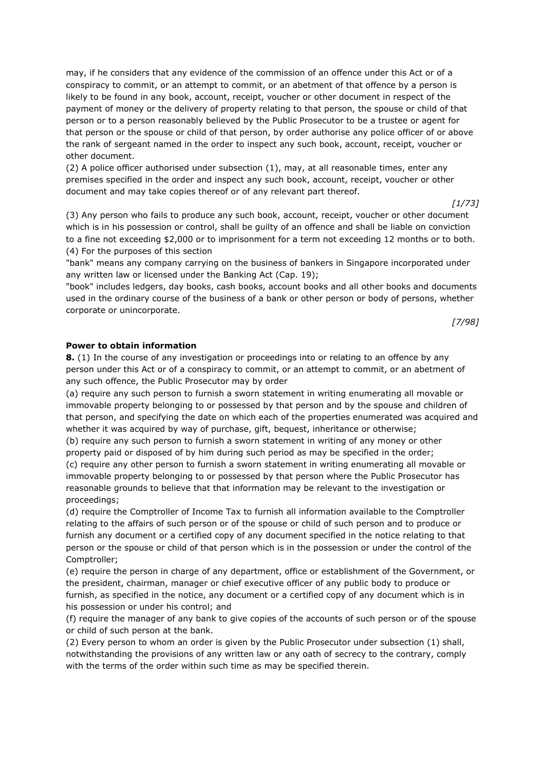may, if he considers that any evidence of the commission of an offence under this Act or of a conspiracy to commit, or an attempt to commit, or an abetment of that offence by a person is likely to be found in any book, account, receipt, voucher or other document in respect of the payment of money or the delivery of property relating to that person, the spouse or child of that person or to a person reasonably believed by the Public Prosecutor to be a trustee or agent for that person or the spouse or child of that person, by order authorise any police officer of or above the rank of sergeant named in the order to inspect any such book, account, receipt, voucher or other document.

(2) A police officer authorised under subsection (1), may, at all reasonable times, enter any premises specified in the order and inspect any such book, account, receipt, voucher or other document and may take copies thereof or of any relevant part thereof.

*[1/73]*

(3) Any person who fails to produce any such book, account, receipt, voucher or other document which is in his possession or control, shall be guilty of an offence and shall be liable on conviction to a fine not exceeding \$2,000 or to imprisonment for a term not exceeding 12 months or to both. (4) For the purposes of this section

"bank" means any company carrying on the business of bankers in Singapore incorporated under any written law or licensed under the Banking Act (Cap. 19);

"book" includes ledgers, day books, cash books, account books and all other books and documents used in the ordinary course of the business of a bank or other person or body of persons, whether corporate or unincorporate.

*[7/98]*

## **Power to obtain information**

**8.** (1) In the course of any investigation or proceedings into or relating to an offence by any person under this Act or of a conspiracy to commit, or an attempt to commit, or an abetment of any such offence, the Public Prosecutor may by order

(a) require any such person to furnish a sworn statement in writing enumerating all movable or immovable property belonging to or possessed by that person and by the spouse and children of that person, and specifying the date on which each of the properties enumerated was acquired and whether it was acquired by way of purchase, gift, bequest, inheritance or otherwise;

(b) require any such person to furnish a sworn statement in writing of any money or other property paid or disposed of by him during such period as may be specified in the order; (c) require any other person to furnish a sworn statement in writing enumerating all movable or immovable property belonging to or possessed by that person where the Public Prosecutor has

reasonable grounds to believe that that information may be relevant to the investigation or proceedings;

(d) require the Comptroller of Income Tax to furnish all information available to the Comptroller relating to the affairs of such person or of the spouse or child of such person and to produce or furnish any document or a certified copy of any document specified in the notice relating to that person or the spouse or child of that person which is in the possession or under the control of the Comptroller;

(e) require the person in charge of any department, office or establishment of the Government, or the president, chairman, manager or chief executive officer of any public body to produce or furnish, as specified in the notice, any document or a certified copy of any document which is in his possession or under his control; and

(f) require the manager of any bank to give copies of the accounts of such person or of the spouse or child of such person at the bank.

(2) Every person to whom an order is given by the Public Prosecutor under subsection (1) shall, notwithstanding the provisions of any written law or any oath of secrecy to the contrary, comply with the terms of the order within such time as may be specified therein.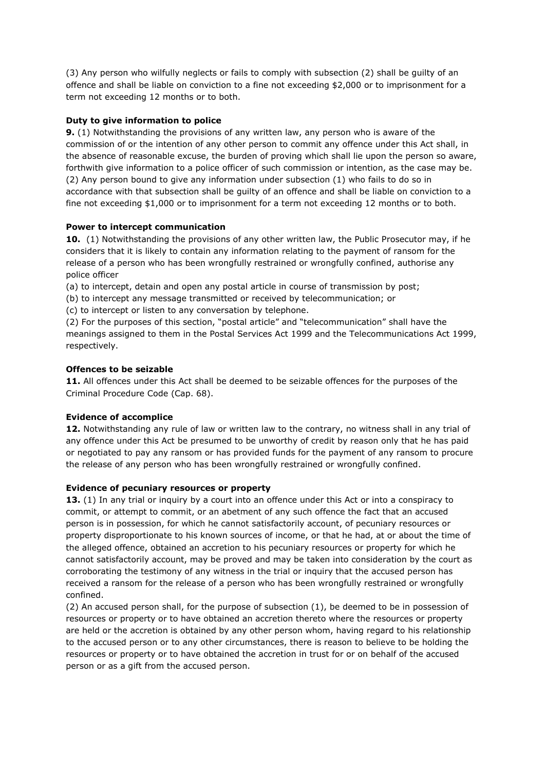(3) Any person who wilfully neglects or fails to comply with subsection (2) shall be guilty of an offence and shall be liable on conviction to a fine not exceeding \$2,000 or to imprisonment for a term not exceeding 12 months or to both.

# **Duty to give information to police**

**9.** (1) Notwithstanding the provisions of any written law, any person who is aware of the commission of or the intention of any other person to commit any offence under this Act shall, in the absence of reasonable excuse, the burden of proving which shall lie upon the person so aware, forthwith give information to a police officer of such commission or intention, as the case may be. (2) Any person bound to give any information under subsection (1) who fails to do so in accordance with that subsection shall be guilty of an offence and shall be liable on conviction to a fine not exceeding \$1,000 or to imprisonment for a term not exceeding 12 months or to both.

# **Power to intercept communication**

**10.** (1) Notwithstanding the provisions of any other written law, the Public Prosecutor may, if he considers that it is likely to contain any information relating to the payment of ransom for the release of a person who has been wrongfully restrained or wrongfully confined, authorise any police officer

(a) to intercept, detain and open any postal article in course of transmission by post;

(b) to intercept any message transmitted or received by telecommunication; or

(c) to intercept or listen to any conversation by telephone.

(2) For the purposes of this section, "postal article" and "telecommunication" shall have the meanings assigned to them in the Postal Services Act 1999 and the Telecommunications Act 1999, respectively.

## **Offences to be seizable**

**11.** All offences under this Act shall be deemed to be seizable offences for the purposes of the Criminal Procedure Code (Cap. 68).

# **Evidence of accomplice**

**12.** Notwithstanding any rule of law or written law to the contrary, no witness shall in any trial of any offence under this Act be presumed to be unworthy of credit by reason only that he has paid or negotiated to pay any ransom or has provided funds for the payment of any ransom to procure the release of any person who has been wrongfully restrained or wrongfully confined.

## **Evidence of pecuniary resources or property**

**13.** (1) In any trial or inquiry by a court into an offence under this Act or into a conspiracy to commit, or attempt to commit, or an abetment of any such offence the fact that an accused person is in possession, for which he cannot satisfactorily account, of pecuniary resources or property disproportionate to his known sources of income, or that he had, at or about the time of the alleged offence, obtained an accretion to his pecuniary resources or property for which he cannot satisfactorily account, may be proved and may be taken into consideration by the court as corroborating the testimony of any witness in the trial or inquiry that the accused person has received a ransom for the release of a person who has been wrongfully restrained or wrongfully confined.

(2) An accused person shall, for the purpose of subsection (1), be deemed to be in possession of resources or property or to have obtained an accretion thereto where the resources or property are held or the accretion is obtained by any other person whom, having regard to his relationship to the accused person or to any other circumstances, there is reason to believe to be holding the resources or property or to have obtained the accretion in trust for or on behalf of the accused person or as a gift from the accused person.